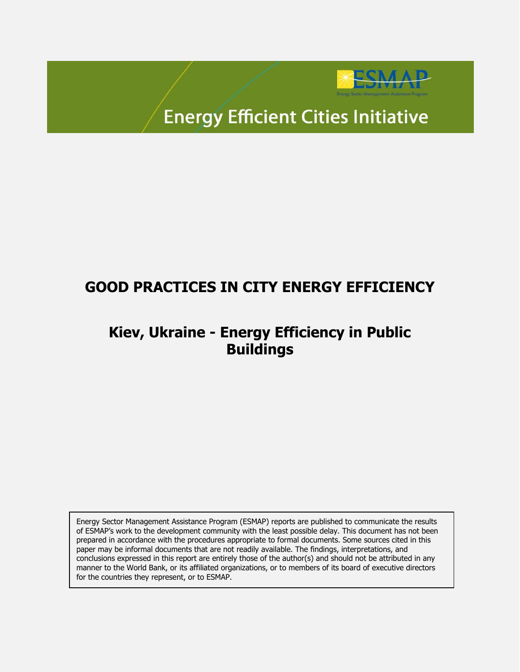

# **Energy Efficient Cities Initiative**

## **GOOD PRACTICES IN CITY ENERGY EFFICIENCY**

## **Kiev, Ukraine - Energy Efficiency in Public Buildings**

Energy Sector Management Assistance Program (ESMAP) reports are published to communicate the results of ESMAP's work to the development community with the least possible delay. This document has not been prepared in accordance with the procedures appropriate to formal documents. Some sources cited in this paper may be informal documents that are not readily available. The findings, interpretations, and conclusions expressed in this report are entirely those of the author(s) and should not be attributed in any manner to the World Bank, or its affiliated organizations, or to members of its board of executive directors for the countries they represent, or to ESMAP.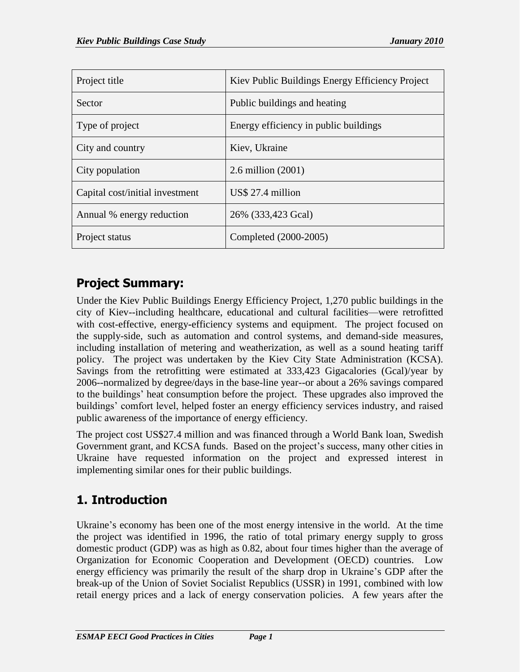| Project title                   | Kiev Public Buildings Energy Efficiency Project |
|---------------------------------|-------------------------------------------------|
| <b>Sector</b>                   | Public buildings and heating                    |
| Type of project                 | Energy efficiency in public buildings           |
| City and country                | Kiev, Ukraine                                   |
| City population                 | $2.6$ million $(2001)$                          |
| Capital cost/initial investment | US\$ 27.4 million                               |
| Annual % energy reduction       | 26% (333,423 Gcal)                              |
| Project status                  | Completed (2000-2005)                           |

## **Project Summary:**

Under the Kiev Public Buildings Energy Efficiency Project, 1,270 public buildings in the city of Kiev--including healthcare, educational and cultural facilities—were retrofitted with cost-effective, energy**-**efficiency systems and equipment. The project focused on the supply-side, such as automation and control systems, and demand-side measures, including installation of metering and weatherization, as well as a sound heating tariff policy. The project was undertaken by the Kiev City State Administration (KCSA). Savings from the retrofitting were estimated at 333,423 Gigacalories (Gcal)/year by 2006--normalized by degree/days in the base-line year--or about a 26% savings compared to the buildings' heat consumption before the project. These upgrades also improved the buildings' comfort level, helped foster an energy efficiency services industry, and raised public awareness of the importance of energy efficiency.

The project cost US\$27.4 million and was financed through a World Bank loan, Swedish Government grant, and KCSA funds. Based on the project's success, many other cities in Ukraine have requested information on the project and expressed interest in implementing similar ones for their public buildings.

## **1. Introduction**

Ukraine's economy has been one of the most energy intensive in the world. At the time the project was identified in 1996, the ratio of total primary energy supply to gross domestic product (GDP) was as high as 0.82, about four times higher than the average of Organization for Economic Cooperation and Development (OECD) countries. Low energy efficiency was primarily the result of the sharp drop in Ukraine's GDP after the break-up of the Union of Soviet Socialist Republics (USSR) in 1991, combined with low retail energy prices and a lack of energy conservation policies. A few years after the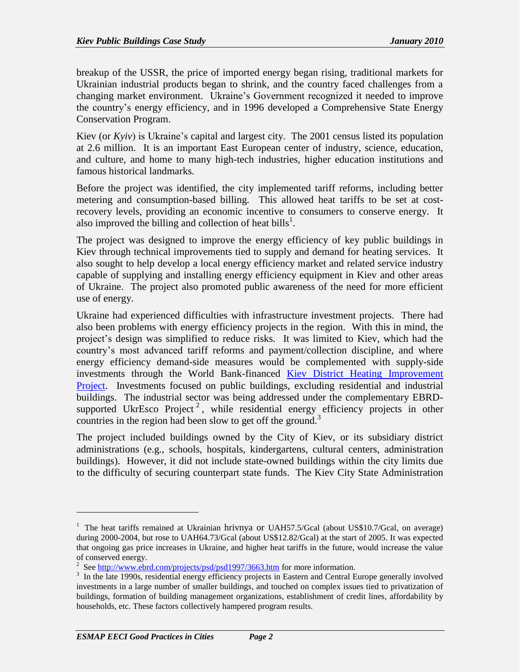breakup of the USSR, the price of imported energy began rising, traditional markets for Ukrainian industrial products began to shrink, and the country faced challenges from a changing market environment. Ukraine's Government recognized it needed to improve the country's energy efficiency, and in 1996 developed a Comprehensive State Energy Conservation Program.

Kiev (or *Kyiv*) is Ukraine's [capital](http://en.wikipedia.org/wiki/Capital_(political)) and largest city. The 2001 census listed its population at 2.6 million. It is an important East European center of industry, science, education, and culture, and home to many [high-tech](http://en.wikipedia.org/wiki/High_tech) industries, [higher education](http://en.wikipedia.org/wiki/Higher_education) institutions and famous historical landmarks.

Before the project was identified, the city implemented tariff reforms, including better metering and consumption-based billing. This allowed heat tariffs to be set at costrecovery levels, providing an economic incentive to consumers to conserve energy. It also improved the billing and collection of heat bills<sup>1</sup>.

The project was designed to improve the energy efficiency of key public buildings in Kiev through technical improvements tied to supply and demand for heating services. It also sought to help develop a local energy efficiency market and related service industry capable of supplying and installing energy efficiency equipment in Kiev and other areas of Ukraine. The project also promoted public awareness of the need for more efficient use of energy.

Ukraine had experienced difficulties with infrastructure investment projects. There had also been problems with energy efficiency projects in the region. With this in mind, the project's design was simplified to reduce risks. It was limited to Kiev, which had the country's most advanced tariff reforms and payment/collection discipline, and where energy efficiency demand-side measures would be complemented with supply-side investments through the World Bank-financed [Kiev District Heating Improvement](http://web.worldbank.org/external/projects/main?pagePK=64283627&piPK=73230&theSitePK=40941&menuPK=228424&Projectid=P044832)  [Project.](http://web.worldbank.org/external/projects/main?pagePK=64283627&piPK=73230&theSitePK=40941&menuPK=228424&Projectid=P044832) Investments focused on public buildings, excluding residential and industrial buildings. The industrial sector was being addressed under the complementary EBRDsupported UkrEsco Project<sup>2</sup>, while residential energy efficiency projects in other countries in the region had been slow to get off the ground.<sup>3</sup>

The project included buildings owned by the City of Kiev, or its subsidiary district administrations (e.g., schools, hospitals, kindergartens, cultural centers, administration buildings). However, it did not include state-owned buildings within the city limits due to the difficulty of securing counterpart state funds. The Kiev City State Administration

 $\overline{a}$ 

<sup>&</sup>lt;sup>1</sup> The heat tariffs remained at Ukrainian hrivnya or UAH57.5/Gcal (about US\$10.7/Gcal, on average) during 2000-2004, but rose to UAH64.73/Gcal (about US\$12.82/Gcal) at the start of 2005. It was expected that ongoing gas price increases in Ukraine, and higher heat tariffs in the future, would increase the value of conserved energy.

<sup>&</sup>lt;sup>2</sup> See<http://www.ebrd.com/projects/psd/psd1997/3663.htm> for more information.

<sup>&</sup>lt;sup>3</sup> In the late 1990s, residential energy efficiency projects in Eastern and Central Europe generally involved investments in a large number of smaller buildings, and touched on complex issues tied to privatization of buildings, formation of building management organizations, establishment of credit lines, affordability by households, etc. These factors collectively hampered program results.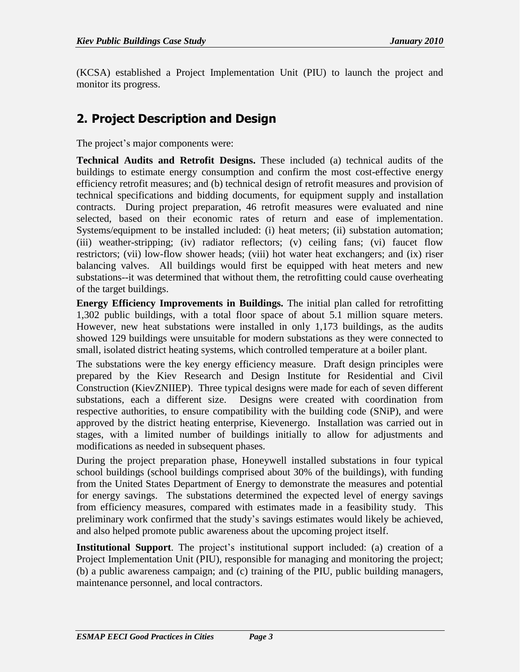(KCSA) established a Project Implementation Unit (PIU) to launch the project and monitor its progress.

## **2. Project Description and Design**

The project's major components were:

**Technical Audits and Retrofit Designs.** These included (a) technical audits of the buildings to estimate energy consumption and confirm the most cost-effective energy efficiency retrofit measures; and (b) technical design of retrofit measures and provision of technical specifications and bidding documents, for equipment supply and installation contracts. During project preparation, 46 retrofit measures were evaluated and nine selected, based on their economic rates of return and ease of implementation. Systems/equipment to be installed included: (i) heat meters; (ii) substation automation; (iii) weather-stripping; (iv) radiator reflectors; (v) ceiling fans; (vi) faucet flow restrictors; (vii) low-flow shower heads; (viii) hot water heat exchangers; and (ix) riser balancing valves. All buildings would first be equipped with heat meters and new substations--it was determined that without them, the retrofitting could cause overheating of the target buildings.

**Energy Efficiency Improvements in Buildings.** The initial plan called for retrofitting 1,302 public buildings, with a total floor space of about 5.1 million square meters. However, new heat substations were installed in only 1,173 buildings, as the audits showed 129 buildings were unsuitable for modern substations as they were connected to small, isolated district heating systems, which controlled temperature at a boiler plant.

The substations were the key energy efficiency measure. Draft design principles were prepared by the Kiev Research and Design Institute for Residential and Civil Construction (KievZNIIEP). Three typical designs were made for each of seven different substations, each a different size. Designs were created with coordination from respective authorities, to ensure compatibility with the building code (SNiP), and were approved by the district heating enterprise, Kievenergo. Installation was carried out in stages, with a limited number of buildings initially to allow for adjustments and modifications as needed in subsequent phases.

During the project preparation phase, Honeywell installed substations in four typical school buildings (school buildings comprised about 30% of the buildings), with funding from the United States Department of Energy to demonstrate the measures and potential for energy savings. The substations determined the expected level of energy savings from efficiency measures, compared with estimates made in a feasibility study. This preliminary work confirmed that the study's savings estimates would likely be achieved, and also helped promote public awareness about the upcoming project itself.

**Institutional Support**. The project's institutional support included: (a) creation of a Project Implementation Unit (PIU), responsible for managing and monitoring the project; (b) a public awareness campaign; and (c) training of the PIU, public building managers, maintenance personnel, and local contractors.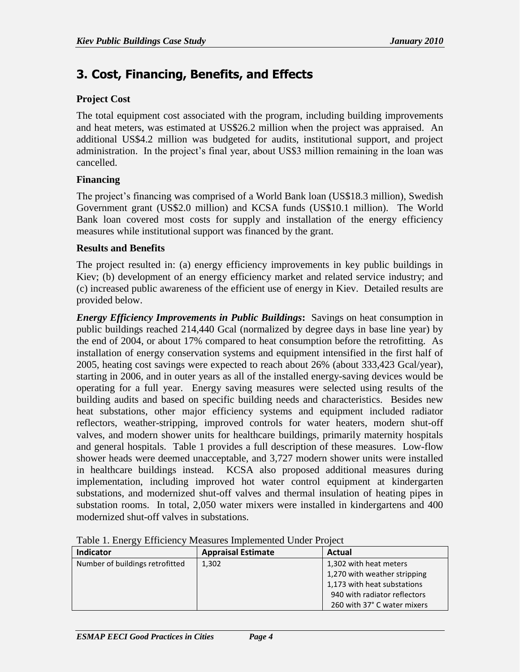### **3. Cost, Financing, Benefits, and Effects**

#### **Project Cost**

The total equipment cost associated with the program, including building improvements and heat meters, was estimated at US\$26.2 million when the project was appraised. An additional US\$4.2 million was budgeted for audits, institutional support, and project administration. In the project's final year, about US\$3 million remaining in the loan was cancelled.

#### **Financing**

The project's financing was comprised of a World Bank loan (US\$18.3 million), Swedish Government grant (US\$2.0 million) and KCSA funds (US\$10.1 million). The World Bank loan covered most costs for supply and installation of the energy efficiency measures while institutional support was financed by the grant.

#### **Results and Benefits**

The project resulted in: (a) energy efficiency improvements in key public buildings in Kiev; (b) development of an energy efficiency market and related service industry; and (c) increased public awareness of the efficient use of energy in Kiev. Detailed results are provided below.

*Energy Efficiency Improvements in Public Buildings***:** Savings on heat consumption in public buildings reached 214,440 Gcal (normalized by degree days in base line year) by the end of 2004, or about 17% compared to heat consumption before the retrofitting. As installation of energy conservation systems and equipment intensified in the first half of 2005, heating cost savings were expected to reach about 26% (about 333,423 Gcal/year), starting in 2006, and in outer years as all of the installed energy-saving devices would be operating for a full year. Energy saving measures were selected using results of the building audits and based on specific building needs and characteristics. Besides new heat substations, other major efficiency systems and equipment included radiator reflectors, weather-stripping, improved controls for water heaters, modern shut-off valves, and modern shower units for healthcare buildings, primarily maternity hospitals and general hospitals. Table 1 provides a full description of these measures. Low-flow shower heads were deemed unacceptable, and 3,727 modern shower units were installed in healthcare buildings instead. KCSA also proposed additional measures during implementation, including improved hot water control equipment at kindergarten substations, and modernized shut-off valves and thermal insulation of heating pipes in substation rooms. In total, 2,050 water mixers were installed in kindergartens and 400 modernized shut-off valves in substations.

| OJ.                             |                           |                              |
|---------------------------------|---------------------------|------------------------------|
| Indicator                       | <b>Appraisal Estimate</b> | Actual                       |
| Number of buildings retrofitted | 1,302                     | 1,302 with heat meters       |
|                                 |                           | 1,270 with weather stripping |
|                                 |                           | 1,173 with heat substations  |
|                                 |                           | 940 with radiator reflectors |
|                                 |                           | 260 with 37° C water mixers  |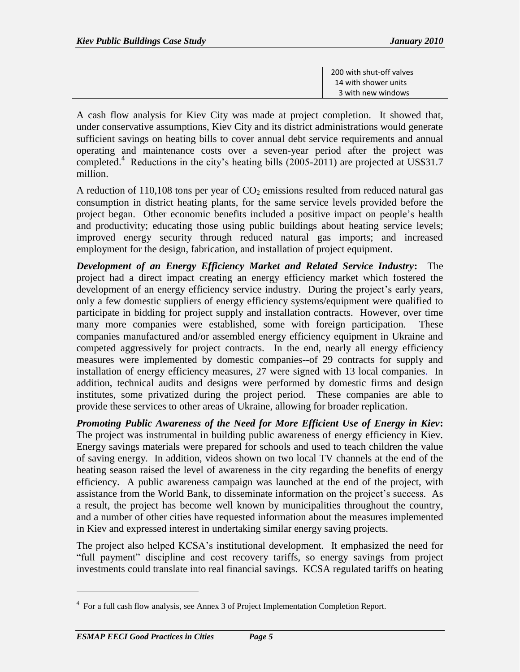|  | 200 with shut-off valves |
|--|--------------------------|
|  | 14 with shower units     |
|  | 3 with new windows       |

A cash flow analysis for Kiev City was made at project completion. It showed that, under conservative assumptions, Kiev City and its district administrations would generate sufficient savings on heating bills to cover annual debt service requirements and annual operating and maintenance costs over a seven-year period after the project was completed.<sup>4</sup> Reductions in the city's heating bills (2005-2011) are projected at US\$31.7 million.

A reduction of  $110,108$  tons per year of  $CO<sub>2</sub>$  emissions resulted from reduced natural gas consumption in district heating plants, for the same service levels provided before the project began. Other economic benefits included a positive impact on people's health and productivity; educating those using public buildings about heating service levels; improved energy security through reduced natural gas imports; and increased employment for the design, fabrication, and installation of project equipment.

*Development of an Energy Efficiency Market and Related Service Industry***:** The project had a direct impact creating an energy efficiency market which fostered the development of an energy efficiency service industry. During the project's early years, only a few domestic suppliers of energy efficiency systems/equipment were qualified to participate in bidding for project supply and installation contracts. However, over time many more companies were established, some with foreign participation. These companies manufactured and/or assembled energy efficiency equipment in Ukraine and competed aggressively for project contracts. In the end, nearly all energy efficiency measures were implemented by domestic companies--of 29 contracts for supply and installation of energy efficiency measures, 27 were signed with 13 local companies. In addition, technical audits and designs were performed by domestic firms and design institutes, some privatized during the project period. These companies are able to provide these services to other areas of Ukraine, allowing for broader replication.

*Promoting Public Awareness of the Need for More Efficient Use of Energy in Kiev***:** The project was instrumental in building public awareness of energy efficiency in Kiev. Energy savings materials were prepared for schools and used to teach children the value of saving energy. In addition, videos shown on two local TV channels at the end of the heating season raised the level of awareness in the city regarding the benefits of energy efficiency. A public awareness campaign was launched at the end of the project, with assistance from the World Bank, to disseminate information on the project's success. As a result, the project has become well known by municipalities throughout the country, and a number of other cities have requested information about the measures implemented in Kiev and expressed interest in undertaking similar energy saving projects.

The project also helped KCSA's institutional development. It emphasized the need for "full payment" discipline and cost recovery tariffs, so energy savings from project investments could translate into real financial savings. KCSA regulated tariffs on heating

 $\overline{a}$ 

<sup>&</sup>lt;sup>4</sup> For a full cash flow analysis, see Annex 3 of Project Implementation Completion Report.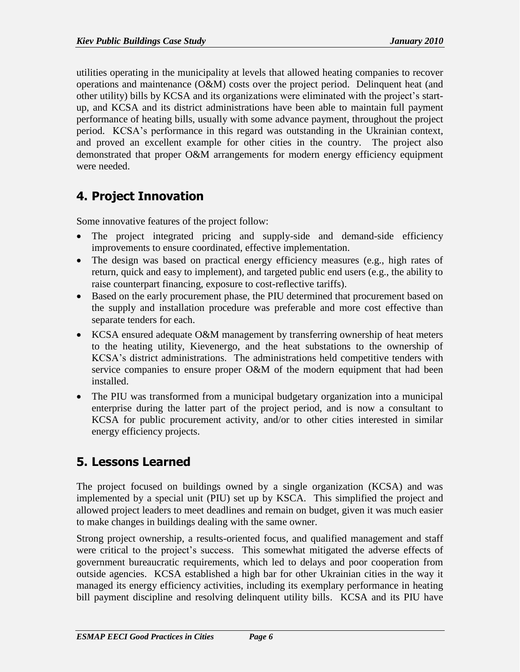utilities operating in the municipality at levels that allowed heating companies to recover operations and maintenance (O&M) costs over the project period. Delinquent heat (and other utility) bills by KCSA and its organizations were eliminated with the project's startup, and KCSA and its district administrations have been able to maintain full payment performance of heating bills, usually with some advance payment, throughout the project period. KCSA's performance in this regard was outstanding in the Ukrainian context, and proved an excellent example for other cities in the country. The project also demonstrated that proper O&M arrangements for modern energy efficiency equipment were needed.

## **4. Project Innovation**

Some innovative features of the project follow:

- The project integrated pricing and supply-side and demand-side efficiency improvements to ensure coordinated, effective implementation.
- The design was based on practical energy efficiency measures (e.g., high rates of return, quick and easy to implement), and targeted public end users (e.g., the ability to raise counterpart financing, exposure to cost-reflective tariffs).
- Based on the early procurement phase, the PIU determined that procurement based on the supply and installation procedure was preferable and more cost effective than separate tenders for each.
- KCSA ensured adequate O&M management by transferring ownership of heat meters to the heating utility, Kievenergo, and the heat substations to the ownership of KCSA's district administrations. The administrations held competitive tenders with service companies to ensure proper O&M of the modern equipment that had been installed.
- The PIU was transformed from a municipal budgetary organization into a municipal enterprise during the latter part of the project period, and is now a consultant to KCSA for public procurement activity, and/or to other cities interested in similar energy efficiency projects.

## **5. Lessons Learned**

The project focused on buildings owned by a single organization (KCSA) and was implemented by a special unit (PIU) set up by KSCA. This simplified the project and allowed project leaders to meet deadlines and remain on budget, given it was much easier to make changes in buildings dealing with the same owner.

Strong project ownership, a results-oriented focus, and qualified management and staff were critical to the project's success. This somewhat mitigated the adverse effects of government bureaucratic requirements, which led to delays and poor cooperation from outside agencies. KCSA established a high bar for other Ukrainian cities in the way it managed its energy efficiency activities, including its exemplary performance in heating bill payment discipline and resolving delinquent utility bills. KCSA and its PIU have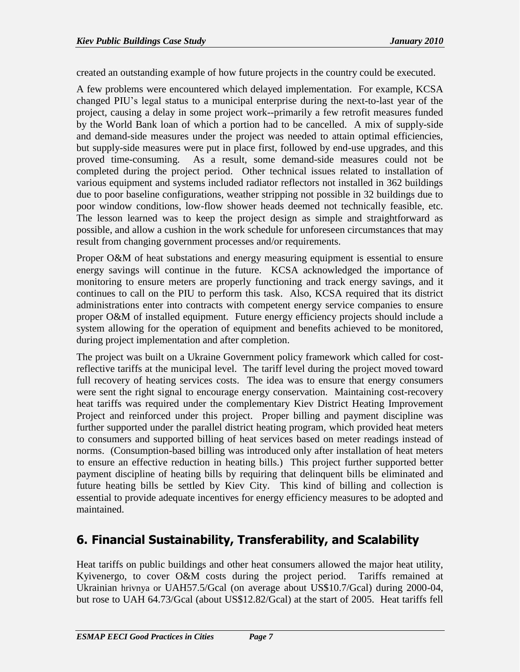created an outstanding example of how future projects in the country could be executed.

A few problems were encountered which delayed implementation. For example, KCSA changed PIU's legal status to a municipal enterprise during the next-to-last year of the project, causing a delay in some project work--primarily a few retrofit measures funded by the World Bank loan of which a portion had to be cancelled. A mix of supply-side and demand-side measures under the project was needed to attain optimal efficiencies, but supply-side measures were put in place first, followed by end-use upgrades, and this proved time-consuming. As a result, some demand-side measures could not be completed during the project period. Other technical issues related to installation of various equipment and systems included radiator reflectors not installed in 362 buildings due to poor baseline configurations, weather stripping not possible in 32 buildings due to poor window conditions, low-flow shower heads deemed not technically feasible, etc. The lesson learned was to keep the project design as simple and straightforward as possible, and allow a cushion in the work schedule for unforeseen circumstances that may result from changing government processes and/or requirements.

Proper O&M of heat substations and energy measuring equipment is essential to ensure energy savings will continue in the future. KCSA acknowledged the importance of monitoring to ensure meters are properly functioning and track energy savings, and it continues to call on the PIU to perform this task. Also, KCSA required that its district administrations enter into contracts with competent energy service companies to ensure proper O&M of installed equipment. Future energy efficiency projects should include a system allowing for the operation of equipment and benefits achieved to be monitored, during project implementation and after completion.

The project was built on a Ukraine Government policy framework which called for costreflective tariffs at the municipal level. The tariff level during the project moved toward full recovery of heating services costs. The idea was to ensure that energy consumers were sent the right signal to encourage energy conservation. Maintaining cost-recovery heat tariffs was required under the complementary Kiev District Heating Improvement Project and reinforced under this project. Proper billing and payment discipline was further supported under the parallel district heating program, which provided heat meters to consumers and supported billing of heat services based on meter readings instead of norms. (Consumption-based billing was introduced only after installation of heat meters to ensure an effective reduction in heating bills.) This project further supported better payment discipline of heating bills by requiring that delinquent bills be eliminated and future heating bills be settled by Kiev City. This kind of billing and collection is essential to provide adequate incentives for energy efficiency measures to be adopted and maintained.

## **6. Financial Sustainability, Transferability, and Scalability**

Heat tariffs on public buildings and other heat consumers allowed the major heat utility, Kyivenergo, to cover O&M costs during the project period. Tariffs remained at Ukrainian hrivnya or UAH57.5/Gcal (on average about US\$10.7/Gcal) during 2000-04, but rose to UAH 64.73/Gcal (about US\$12.82/Gcal) at the start of 2005. Heat tariffs fell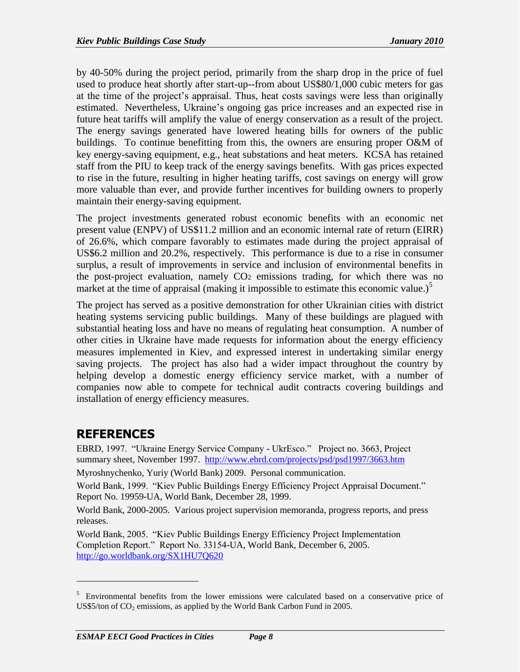by 40-50% during the project period, primarily from the sharp drop in the price of fuel used to produce heat shortly after start-up--from about US\$80/1,000 cubic meters for gas at the time of the project's appraisal. Thus, heat costs savings were less than originally estimated. Nevertheless, Ukraine's ongoing gas price increases and an expected rise in future heat tariffs will amplify the value of energy conservation as a result of the project. The energy savings generated have lowered heating bills for owners of the public buildings. To continue benefitting from this, the owners are ensuring proper O&M of key energy-saving equipment, e.g., heat substations and heat meters. KCSA has retained staff from the PIU to keep track of the energy savings benefits. With gas prices expected to rise in the future, resulting in higher heating tariffs, cost savings on energy will grow more valuable than ever, and provide further incentives for building owners to properly maintain their energy-saving equipment.

The project investments generated robust economic benefits with an economic net present value (ENPV) of US\$11.2 million and an economic internal rate of return (EIRR) of 26.6%, which compare favorably to estimates made during the project appraisal of US\$6.2 million and 20.2%, respectively. This performance is due to a rise in consumer surplus, a result of improvements in service and inclusion of environmental benefits in the post-project evaluation, namely CO<sup>2</sup> emissions trading, for which there was no market at the time of appraisal (making it impossible to estimate this economic value.)<sup>5</sup>

The project has served as a positive demonstration for other Ukrainian cities with district heating systems servicing public buildings. Many of these buildings are plagued with substantial heating loss and have no means of regulating heat consumption. A number of other cities in Ukraine have made requests for information about the energy efficiency measures implemented in Kiev, and expressed interest in undertaking similar energy saving projects. The project has also had a wider impact throughout the country by helping develop a domestic energy efficiency service market, with a number of companies now able to compete for technical audit contracts covering buildings and installation of energy efficiency measures.

### **REFERENCES**

 $\overline{a}$ 

EBRD, 1997. "Ukraine Energy Service Company - UkrEsco." Project no. 3663, Project summary sheet, November 1997. <http://www.ebrd.com/projects/psd/psd1997/3663.htm>

Myroshnychenko, Yuriy (World Bank) 2009. Personal communication.

World Bank, 1999. "Kiev Public Buildings Energy Efficiency Project Appraisal Document." Report No. 19959-UA, World Bank, December 28, 1999.

World Bank, 2000-2005. Various project supervision memoranda, progress reports, and press releases.

World Bank, 2005. "Kiev Public Buildings Energy Efficiency Project Implementation Completion Report." Report No. 33154-UA, World Bank, December 6, 2005. <http://go.worldbank.org/SX1HU7Q620>

<sup>&</sup>lt;sup>5</sup> Environmental benefits from the lower emissions were calculated based on a conservative price of US\$5/ton of  $CO<sub>2</sub>$  emissions, as applied by the World Bank Carbon Fund in 2005.